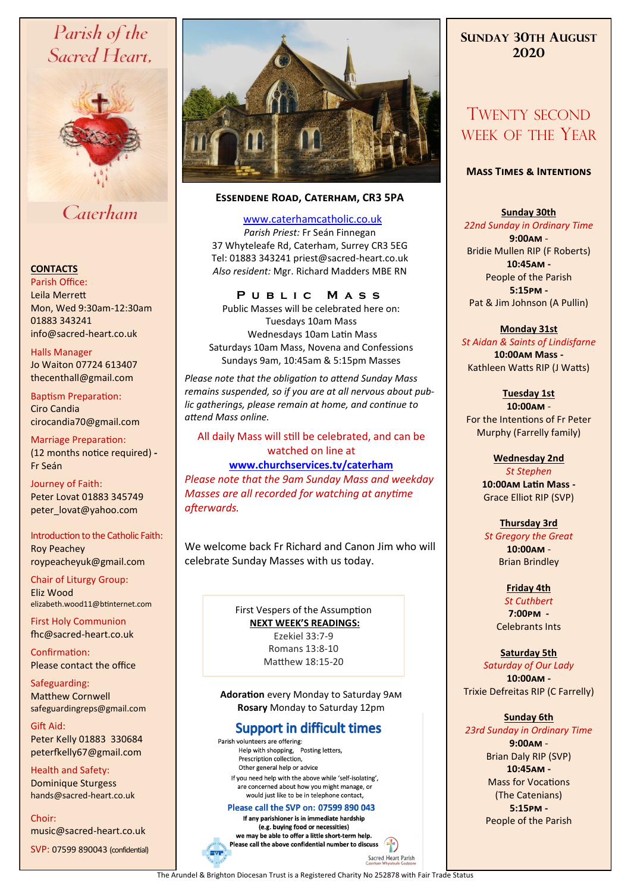# Parish of the Sacred Heart,



## Caterham

#### **CONTACTS**

Parish Office: Leila Merrett Mon, Wed 9:30am-12:30am 01883 343241 info@sacred-heart.co.uk .

Halls Manager Jo Waiton 07724 613407 thecenthall@gmail.com

Baptism Preparation: Ciro Candia cirocandia70@gmail.com

Marriage Preparation: (12 months notice required) **-** Fr Seán

Journey of Faith: Peter Lovat 01883 345749 peter\_lovat@yahoo.com

#### Introduction to the Catholic Faith: Roy Peachey

roypeacheyuk@gmail.com

Chair of Liturgy Group: Eliz Wood elizabeth.wood11@btinternet.com

First Holy Communion fhc@sacred-heart.co.uk

Confirmation: Please contact the office

Safeguarding: Matthew Cornwell safeguardingreps@gmail.com

Gift Aid: Peter Kelly 01883 330684 peterfkelly67@gmail.com

Health and Safety: Dominique Sturgess hands@sacred-heart.co.uk

Choir: music@sacred-heart.co.uk

SVP: 07599 890043 (confidential)



#### **Essendene Road, Caterham, CR3 5PA**

[www.caterhamcatholic.co.uk](http://Www.caterhamcatholic.co.uk)

*Parish Priest:* Fr Seán Finnegan 37 Whyteleafe Rd, Caterham, Surrey CR3 5EG Tel: 01883 343241 priest@sacred-heart.co.uk *Also resident:* Mgr. Richard Madders MBE RN

#### **P u b l i c M a s s**

Public Masses will be celebrated here on: Tuesdays 10am Mass Wednesdays 10am Latin Mass Saturdays 10am Mass, Novena and Confessions Sundays 9am, 10:45am & 5:15pm Masses

*Please note that the obligation to attend Sunday Mass remains suspended, so if you are at all nervous about public gatherings, please remain at home, and continue to attend Mass online.*

#### All daily Mass will still be celebrated, and can be watched on line at

#### **[www.churchservices.tv/caterham](http://www.churchservices.tv/caterham)**

*Please note that the 9am Sunday Mass and weekday Masses are all recorded for watching at anytime afterwards.*

We welcome back Fr Richard and Canon Jim who will celebrate Sunday Masses with us today.

> First Vespers of the Assumption **NEXT WEEK'S READINGS:**  Ezekiel 33:7-9 Romans 13:8-10 Matthew 18:15-20

#### **Adoration** every Monday to Saturday 9am **Rosary** Monday to Saturday 12pm

### **Support in difficult times**

Parish volunteers are offering: Help with shopping, Posting letters, Prescription collection, Other general help or advice If you need help with the above while 'self-isolating'. are concerned about how you might manage, or would just like to be in telephone contact,

#### Please call the SVP on: 07599 890 043

If any parishioner is in immediate hardship (e.g. buying food or necessities) we may be able to offer a little short-term help. Please call the above confidential number to discuss  $\left| \cdot \right|$ 

## **SUNDAY 30TH AUGUST 2020**

## TWENTY SECOND WEEK OF THE YEAR

#### **Mass Times & Intentions**

#### **Sunday 30th**

*22nd Sunday in Ordinary Time* **9:00am** - Bridie Mullen RIP (F Roberts) **10:45am -** People of the Parish **5:15pm -** Pat & Jim Johnson (A Pullin)

#### **Monday 31st**

*St Aidan & Saints of Lindisfarne* **10:00am Mass -** Kathleen Watts RIP (J Watts)

**Tuesday 1st 10:00am** -

For the Intentions of Fr Peter Murphy (Farrelly family)

#### **Wednesday 2nd**

*St Stephen* **10:00am Latin Mass -** Grace Elliot RIP (SVP)

#### **Thursday 3rd**  *St Gregory the Great* **10:00am** - Brian Brindley

**Friday 4th** *St Cuthbert* **7:00pm -** Celebrants Ints

**Saturday 5th** *Saturday of Our Lady* **10:00am -**  Trixie Defreitas RIP (C Farrelly)

### **Sunday 6th**

*23rd Sunday in Ordinary Time* **9:00am** - Brian Daly RIP (SVP) **10:45am -** Mass for Vocations (The Catenians) **5:15pm -** People of the Parish

The Arundel & Brighton Diocesan Trust is a Registered Charity No 252878 with Fair Trade Status

Sacred Heart Parish